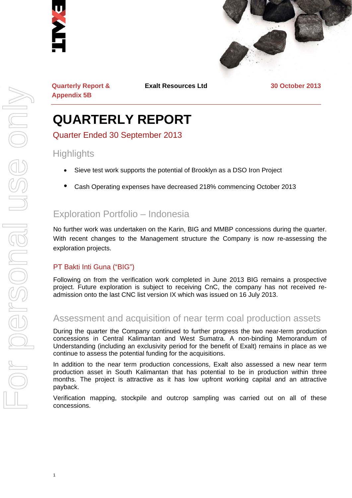



**Quarterly Report & Appendix 5B** 

**Exalt Resources Ltd 30 October 2013**

# **QUARTERLY REPORT**

Quarter Ended 30 September 2013

## **Highlights**

- Sieve test work supports the potential of Brooklyn as a DSO Iron Project
- Cash Operating expenses have decreased 218% commencing October 2013

# Exploration Portfolio – Indonesia

No further work was undertaken on the Karin, BIG and MMBP concessions during the quarter. With recent changes to the Management structure the Company is now re-assessing the exploration projects.

#### PT Bakti Inti Guna ("BIG")

Following on from the verification work completed in June 2013 BIG remains a prospective project. Future exploration is subject to receiving CnC, the company has not received readmission onto the last CNC list version IX which was issued on 16 July 2013.

# Assessment and acquisition of near term coal production assets

During the quarter the Company continued to further progress the two near-term production concessions in Central Kalimantan and West Sumatra. A non-binding Memorandum of Understanding (including an exclusivity period for the benefit of Exalt) remains in place as we continue to assess the potential funding for the acquisitions.

In addition to the near term production concessions, Exalt also assessed a new near term production asset in South Kalimantan that has potential to be in production within three months. The project is attractive as it has low upfront working capital and an attractive payback.

Verification mapping, stockpile and outcrop sampling was carried out on all of these concessions.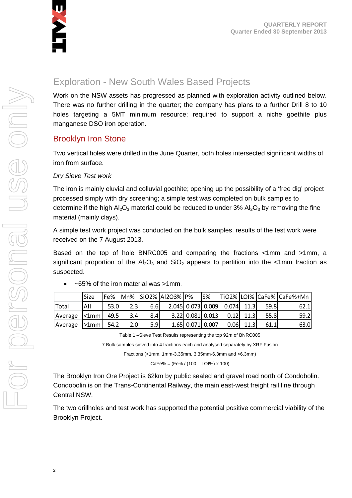

# Exploration - New South Wales Based Projects

Work on the NSW assets has progressed as planned with exploration activity outlined below. There was no further drilling in the quarter; the company has plans to a further Drill 8 to 10 holes targeting a 5MT minimum resource; required to support a niche goethite plus manganese DSO iron operation.

#### Brooklyn Iron Stone

Two vertical holes were drilled in the June Quarter, both holes intersected significant widths of iron from surface.

#### *Dry Sieve Test work*

The iron is mainly eluvial and colluvial goethite; opening up the possibility of a 'free dig' project processed simply with dry screening; a simple test was completed on bulk samples to determine if the high  $Al_2O_3$  material could be reduced to under 3%  $Al_2O_3$  by removing the fine material (mainly clays).

A simple test work project was conducted on the bulk samples, results of the test work were received on the 7 August 2013.

Based on the top of hole BNRC005 and comparing the fractions <1mm and >1mm, a significant proportion of the  $Al_2O_3$  and  $SiO_2$  appears to partition into the <1mm fraction as suspected.

|         | Size           | Fe%  |                  |     | Mn% SiO2% AI2O3% P% |                    | S% |                         |      |      | TiO2% LOI% CaFe% CaFe%+Mn |
|---------|----------------|------|------------------|-----|---------------------|--------------------|----|-------------------------|------|------|---------------------------|
| Total   | All            | 53.0 | 2.3              | 6.6 |                     |                    |    | 2.045 0.073 0.009 0.074 | 11.3 | 59.8 | 62.1                      |
| Average | $\leq 1$ mm l  | 49.5 | 3.4              | 8.4 |                     | $3.22$ 0.081 0.013 |    | 0.12                    | 11.3 | 55.8 | 59.2                      |
| Average | $>1$ mm $\mid$ | 54.2 | 2.0 <sub>l</sub> | 5.9 |                     | 1.65 0.071 0.007   |    | 0.06                    | 11.3 | 61.1 | 63.0                      |

~65% of the iron material was >1mm.

Table 1 –Sieve Test Results representing the top 92m of BNRC005

7 Bulk samples sieved into 4 fractions each and analysed separately by XRF Fusion

Fractions (<1mm, 1mm-3.35mm, 3.35mm-6.3mm and >6.3mm)

CaFe% = (Fe% / (100 – LOI%) x 100)

The Brooklyn Iron Ore Project is 62km by public sealed and gravel road north of Condobolin. Condobolin is on the Trans-Continental Railway, the main east-west freight rail line through Central NSW.

The two drillholes and test work has supported the potential positive commercial viability of the Brooklyn Project.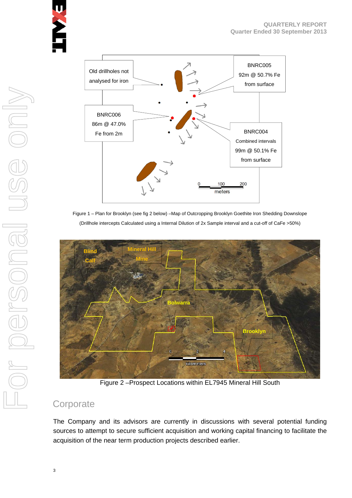

Figure 1 – Plan for Brooklyn (see fig 2 below) –Map of Outcropping Brooklyn Goethite Iron Shedding Downslope (Drillhole intercepts Calculated using a Internal Dilution of 2x Sample interval and a cut-off of CaFe >50%)



Figure 2 –Prospect Locations within EL7945 Mineral Hill South

# **Corporate**

The Company and its advisors are currently in discussions with several potential funding sources to attempt to secure sufficient acquisition and working capital financing to facilitate the acquisition of the near term production projects described earlier.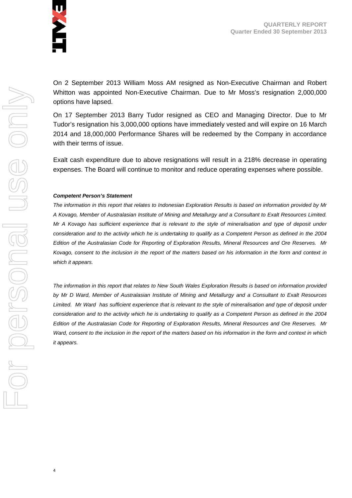

On 2 September 2013 William Moss AM resigned as Non-Executive Chairman and Robert Whitton was appointed Non-Executive Chairman. Due to Mr Moss's resignation 2,000,000 options have lapsed.

On 17 September 2013 Barry Tudor resigned as CEO and Managing Director. Due to Mr Tudor's resignation his 3,000,000 options have immediately vested and will expire on 16 March 2014 and 18,000,000 Performance Shares will be redeemed by the Company in accordance with their terms of issue.

Exalt cash expenditure due to above resignations will result in a 218% decrease in operating expenses. The Board will continue to monitor and reduce operating expenses where possible.

#### *Competent Person's Statement*

*The information in this report that relates to Indonesian Exploration Results is based on information provided by Mr A Kovago, Member of Australasian Institute of Mining and Metallurgy and a Consultant to Exalt Resources Limited. Mr A Kovago has sufficient experience that is relevant to the style of mineralisation and type of deposit under consideration and to the activity which he is undertaking to qualify as a Competent Person as defined in the 2004 Edition of the Australasian Code for Reporting of Exploration Results, Mineral Resources and Ore Reserves. Mr Kovago, consent to the inclusion in the report of the matters based on his information in the form and context in which it appears.* 

*The information in this report that relates to New South Wales Exploration Results is based on information provided by Mr D Ward, Member of Australasian Institute of Mining and Metallurgy and a Consultant to Exalt Resources*  Limited. Mr Ward has sufficient experience that is relevant to the style of mineralisation and type of deposit under *consideration and to the activity which he is undertaking to qualify as a Competent Person as defined in the 2004 Edition of the Australasian Code for Reporting of Exploration Results, Mineral Resources and Ore Reserves. Mr Ward, consent to the inclusion in the report of the matters based on his information in the form and context in which it appears.*

4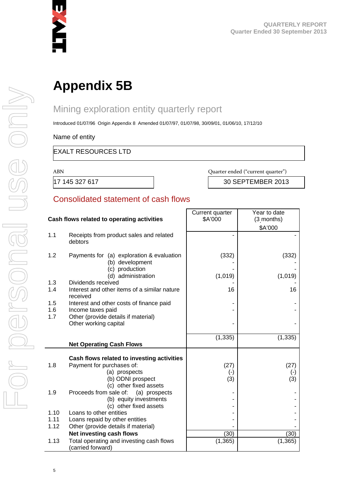

# **Appendix 5B**

# Mining exploration entity quarterly report

Introduced 01/07/96 Origin Appendix 8 Amended 01/07/97, 01/07/98, 30/09/01, 01/06/10, 17/12/10

Name of entity

#### EXALT RESOURCES LTD

ABN

Quarter ended ("current quarter")

17 145 327 617 30 SEPTEMBER 2013

#### Consolidated statement of cash flows

| Cash flows related to operating activities |                                                                                | Current quarter<br>\$A'000 | Year to date<br>(3 months)<br>\$A'000 |
|--------------------------------------------|--------------------------------------------------------------------------------|----------------------------|---------------------------------------|
| 1.1                                        | Receipts from product sales and related<br>debtors                             |                            |                                       |
| 1.2                                        | Payments for (a) exploration & evaluation<br>(b) development<br>(c) production | (332)                      | (332)                                 |
|                                            | (d) administration                                                             | (1,019)                    | (1,019)                               |
| 1.3<br>1.4                                 | Dividends received<br>Interest and other items of a similar nature<br>received | 16                         | 16                                    |
| 1.5<br>1.6                                 | Interest and other costs of finance paid<br>Income taxes paid                  |                            |                                       |
| 1.7                                        | Other (provide details if material)<br>Other working capital                   |                            |                                       |
|                                            |                                                                                | (1, 335)                   | (1, 335)                              |
|                                            | <b>Net Operating Cash Flows</b>                                                |                            |                                       |
|                                            | Cash flows related to investing activities                                     |                            |                                       |
| 1.8                                        | Payment for purchases of:                                                      | (27)                       | (27)                                  |
|                                            | (a) prospects                                                                  | $(-)$                      | $(\cdot)$                             |
|                                            | (b) ODNI prospect                                                              | (3)                        | (3)                                   |
|                                            | (c) other fixed assets                                                         |                            |                                       |
| 1.9                                        | Proceeds from sale of:<br>(a) prospects<br>(b) equity investments              |                            |                                       |
|                                            | (c) other fixed assets                                                         |                            |                                       |
| 1.10                                       | Loans to other entities                                                        |                            |                                       |
| 1.11                                       | Loans repaid by other entities                                                 |                            |                                       |
| 1.12                                       | Other (provide details if material)                                            |                            |                                       |
|                                            | Net investing cash flows                                                       | (30)                       | (30)                                  |
| 1.13                                       | Total operating and investing cash flows<br>(carried forward)                  | (1, 365)                   | (1, 365)                              |

5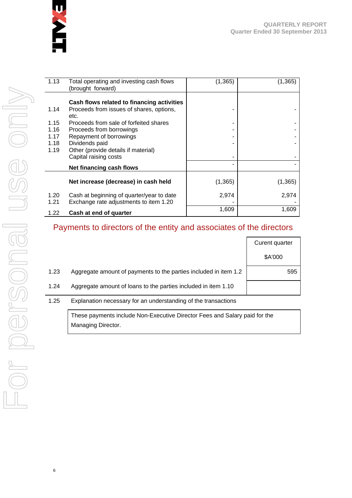

| 1.13                                         | Total operating and investing cash flows<br>(brought forward)                                                                                                                                                                                                                     | (1, 365) | $\left( 1,365\right)$ |
|----------------------------------------------|-----------------------------------------------------------------------------------------------------------------------------------------------------------------------------------------------------------------------------------------------------------------------------------|----------|-----------------------|
| 1.14<br>1.15<br>1.16<br>1.17<br>1.18<br>1.19 | Cash flows related to financing activities<br>Proceeds from issues of shares, options,<br>etc.<br>Proceeds from sale of forfeited shares<br>Proceeds from borrowings<br>Repayment of borrowings<br>Dividends paid<br>Other (provide details if material)<br>Capital raising costs |          |                       |
|                                              | Net financing cash flows                                                                                                                                                                                                                                                          |          |                       |
|                                              | Net increase (decrease) in cash held                                                                                                                                                                                                                                              | (1, 365) | (1,365)               |
| 1.20<br>1.21                                 | Cash at beginning of quarter/year to date<br>Exchange rate adjustments to item 1.20                                                                                                                                                                                               | 2,974    | 2,974                 |
| 1.22                                         | Cash at end of quarter                                                                                                                                                                                                                                                            | 1,609    | 1,609                 |

# Payments to directors of the entity and associates of the directors

|      |                                                                  | Curent quarter |
|------|------------------------------------------------------------------|----------------|
|      |                                                                  | \$A'000        |
| 1.23 | Aggregate amount of payments to the parties included in item 1.2 | 595            |
| 1.24 | Aggregate amount of loans to the parties included in item 1.10   |                |
| 1.25 | Explanation necessary for an understanding of the transactions   |                |

These payments include Non-Executive Director Fees and Salary paid for the Managing Director.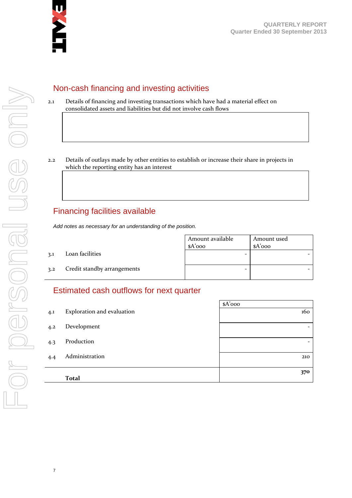

### Non-cash financing and investing activities

- 2.1 Details of financing and investing transactions which have had a material effect on consolidated assets and liabilities but did not involve cash flows
- 2.2 Details of outlays made by other entities to establish or increase their share in projects in which the reporting entity has an interest

# Financing facilities available

*Add notes as necessary for an understanding of the position.* 

3.1 Loan facilities

| Amount available<br>$A'$ 000 | Amount used<br>$A'$ ooo |
|------------------------------|-------------------------|
|                              |                         |
|                              |                         |

3.2 Credit standby arrangements

#### Estimated cash outflows for next quarter

|     |                            | $A'$ 000 |
|-----|----------------------------|----------|
| 4.1 | Exploration and evaluation | 160      |
| 4.2 | Development                |          |
| 4.3 | Production                 |          |
| 4.4 | Administration             | 210      |
|     | <b>Total</b>               | 370      |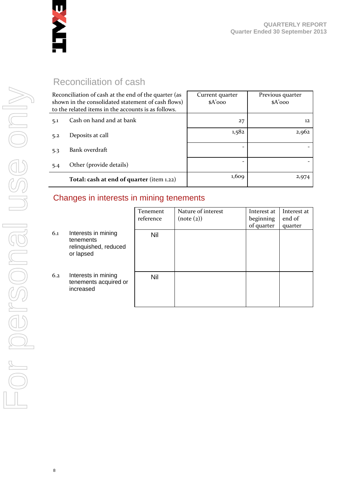

# Reconciliation of cash

|     | Reconciliation of cash at the end of the quarter (as<br>shown in the consolidated statement of cash flows)<br>to the related items in the accounts is as follows. | Current quarter<br>$A'$ 000 | Previous quarter<br>$A'$ 000 |
|-----|-------------------------------------------------------------------------------------------------------------------------------------------------------------------|-----------------------------|------------------------------|
| 5.1 | Cash on hand and at bank                                                                                                                                          | 27                          | 12                           |
| 5.2 | Deposits at call                                                                                                                                                  | 1,582                       | 2,962                        |
| 5.3 | Bank overdraft                                                                                                                                                    |                             |                              |
| 5.4 | Other (provide details)                                                                                                                                           |                             |                              |
|     | Total: cash at end of quarter (item 1.22)                                                                                                                         | 1,609                       | 2,974                        |

#### Changes in interests in mining tenements

|     |                                                                        | Tenement<br>reference | Nature of interest<br>(note (2)) | Interest at<br>beginning<br>of quarter | Interest at<br>end of<br>quarter |
|-----|------------------------------------------------------------------------|-----------------------|----------------------------------|----------------------------------------|----------------------------------|
| 6.1 | Interests in mining<br>tenements<br>relinquished, reduced<br>or lapsed | Nil                   |                                  |                                        |                                  |
| 6.2 | Interests in mining<br>tenements acquired or<br>increased              | <b>Nil</b>            |                                  |                                        |                                  |

8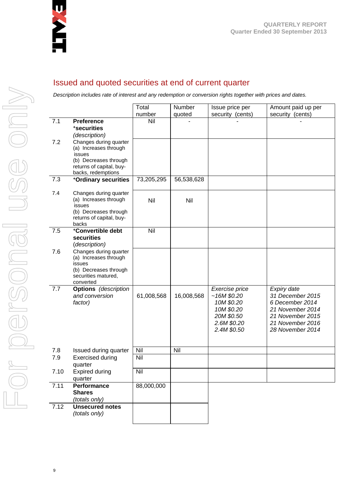

### Issued and quoted securities at end of current quarter

*Description includes rate of interest and any redemption or conversion rights together with prices and dates.* 

|      |                                          | Total      | Number     | Issue price per            | Amount paid up per                   |
|------|------------------------------------------|------------|------------|----------------------------|--------------------------------------|
|      |                                          | number     | quoted     | security (cents)           | security (cents)                     |
| 7.1  | <b>Preference</b><br>*securities         | Nil        |            |                            |                                      |
|      | (description)                            |            |            |                            |                                      |
| 7.2  | Changes during quarter                   |            |            |                            |                                      |
|      | (a) Increases through                    |            |            |                            |                                      |
|      | issues<br>(b) Decreases through          |            |            |                            |                                      |
|      | returns of capital, buy-                 |            |            |                            |                                      |
|      | backs, redemptions                       |            |            |                            |                                      |
| 7.3  | +Ordinary securities                     | 73,205,295 | 56,538,628 |                            |                                      |
| 7.4  | Changes during quarter                   |            |            |                            |                                      |
|      | (a) Increases through<br>issues          | Nil        | Nil        |                            |                                      |
|      | (b) Decreases through                    |            |            |                            |                                      |
|      | returns of capital, buy-                 |            |            |                            |                                      |
| 7.5  | backs<br>*Convertible debt               | Nil        |            |                            |                                      |
|      | securities                               |            |            |                            |                                      |
|      | (description)                            |            |            |                            |                                      |
| 7.6  | Changes during quarter                   |            |            |                            |                                      |
|      | (a) Increases through<br>issues          |            |            |                            |                                      |
|      | (b) Decreases through                    |            |            |                            |                                      |
|      | securities matured,                      |            |            |                            |                                      |
| 7.7  | converted<br><b>Options</b> (description |            |            | Exercise price             | Expiry date                          |
|      | and conversion                           | 61,008,568 | 16,008,568 | ~16M\$0.20                 | 31 December 2015                     |
|      | factor)                                  |            |            | 10M \$0.20                 | 6 December 2014                      |
|      |                                          |            |            | 10M \$0.20                 | 21 November 2014                     |
|      |                                          |            |            | 20M \$0.50                 | 21 November 2015                     |
|      |                                          |            |            | 2.6M \$0.20<br>2.4M \$0.50 | 21 November 2016<br>28 November 2014 |
|      |                                          |            |            |                            |                                      |
|      |                                          |            |            |                            |                                      |
| 7.8  | Issued during quarter                    | Nil        | Nil        |                            |                                      |
| 7.9  | <b>Exercised during</b><br>quarter       | Nil        |            |                            |                                      |
| 7.10 | <b>Expired during</b><br>quarter         | Nil        |            |                            |                                      |
| 7.11 | Performance                              | 88,000,000 |            |                            |                                      |
|      | <b>Shares</b>                            |            |            |                            |                                      |
| 7.12 | (totals only)<br><b>Unsecured notes</b>  |            |            |                            |                                      |
|      | (totals only)                            |            |            |                            |                                      |
|      |                                          |            |            |                            |                                      |